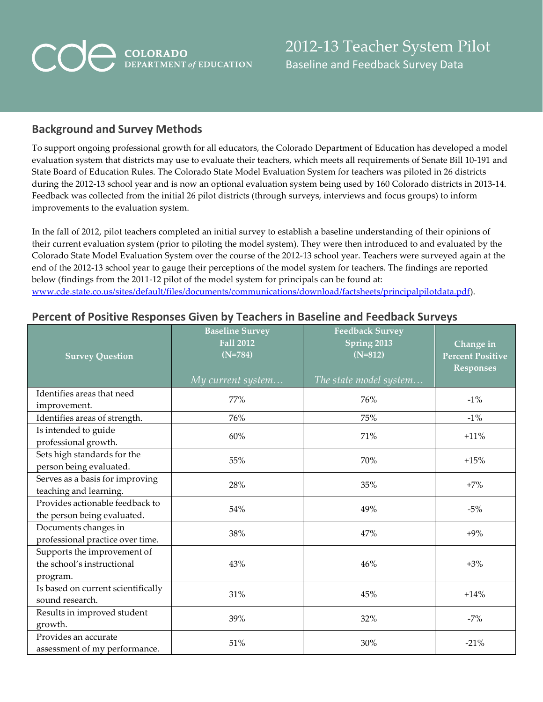# **COLORADO**<br>DEPARTMENT of EDUCATION

## **Background and Survey Methods**

To support ongoing professional growth for all educators, the Colorado Department of Education has developed a model evaluation system that districts may use to evaluate their teachers, which meets all requirements of Senate Bill 10-191 and State Board of Education Rules. The Colorado State Model Evaluation System for teachers was piloted in 26 districts during the 2012-13 school year and is now an optional evaluation system being used by 160 Colorado districts in 2013-14. Feedback was collected from the initial 26 pilot districts (through surveys, interviews and focus groups) to inform improvements to the evaluation system.

In the fall of 2012, pilot teachers completed an initial survey to establish a baseline understanding of their opinions of their current evaluation system (prior to piloting the model system). They were then introduced to and evaluated by the Colorado State Model Evaluation System over the course of the 2012-13 school year. Teachers were surveyed again at the end of the 2012-13 school year to gauge their perceptions of the model system for teachers. The findings are reported below (findings from the 2011-12 pilot of the model system for principals can be found at: [www.cde.state.co.us/sites/default/files/documents/communications/download/factsheets/principalpilotdata.pdf\)](http://www.cde.state.co.us/sites/default/files/documents/communications/download/factsheets/principalpilotdata.pdf).

| <b>Survey Question</b>                                                | <b>Baseline Survey</b><br><b>Fall 2012</b><br>$(N=784)$<br>My current system | <b>Feedback Survey</b><br>Spring 2013<br>$(N=812)$<br>The state model system | Change in<br><b>Percent Positive</b><br><b>Responses</b> |
|-----------------------------------------------------------------------|------------------------------------------------------------------------------|------------------------------------------------------------------------------|----------------------------------------------------------|
| Identifies areas that need<br>improvement.                            | 77%                                                                          | 76%                                                                          | $-1\%$                                                   |
| Identifies areas of strength.                                         | 76%                                                                          | 75%                                                                          | $-1\%$                                                   |
| Is intended to guide<br>professional growth.                          | 60%                                                                          | 71%                                                                          | $+11%$                                                   |
| Sets high standards for the<br>person being evaluated.                | 55%                                                                          | 70%                                                                          | $+15%$                                                   |
| Serves as a basis for improving<br>teaching and learning.             | 28%                                                                          | 35%                                                                          | $+7%$                                                    |
| Provides actionable feedback to<br>the person being evaluated.        | 54%                                                                          | 49%                                                                          | $-5%$                                                    |
| Documents changes in<br>professional practice over time.              | 38%                                                                          | 47%                                                                          | $+9\%$                                                   |
| Supports the improvement of<br>the school's instructional<br>program. | 43%                                                                          | 46%                                                                          | $+3\%$                                                   |
| Is based on current scientifically<br>sound research.                 | 31%                                                                          | 45%                                                                          | $+14%$                                                   |
| Results in improved student<br>growth.                                | 39%                                                                          | 32%                                                                          | $-7%$                                                    |
| Provides an accurate<br>assessment of my performance.                 | 51%                                                                          | 30%                                                                          | $-21%$                                                   |

## **Percent of Positive Responses Given by Teachers in Baseline and Feedback Surveys**